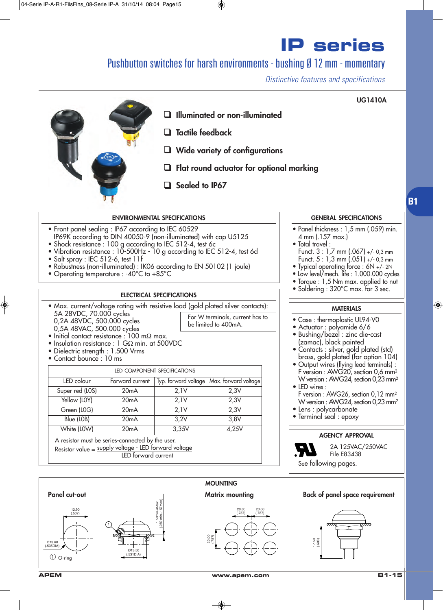### Pushbutton switches for harsh environments - bushing Ø 12 mm - momentary

*Distinctive features and specifications*



**B1**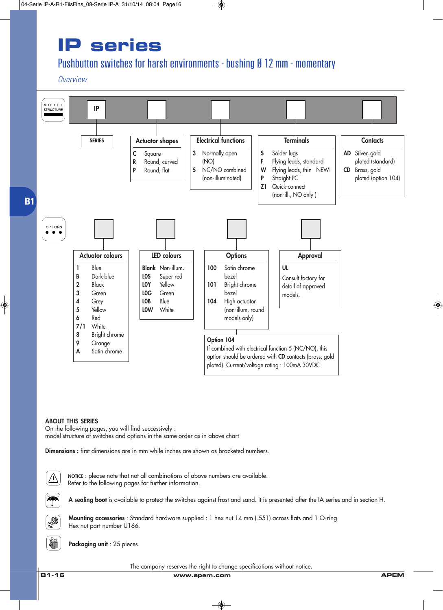### Pushbutton switches for harsh environments - bushing Ø 12 mm - momentary

*Overview*



#### **ABOUT THIS SERIES**

On the following pages, you will find successively : model structure of switches and options in the same order as in above chart

**Dimensions :** first dimensions are in mm while inches are shown as bracketed numbers.



**B1-16 www.apem.com APEM** The company reserves the right to change specifications without notice.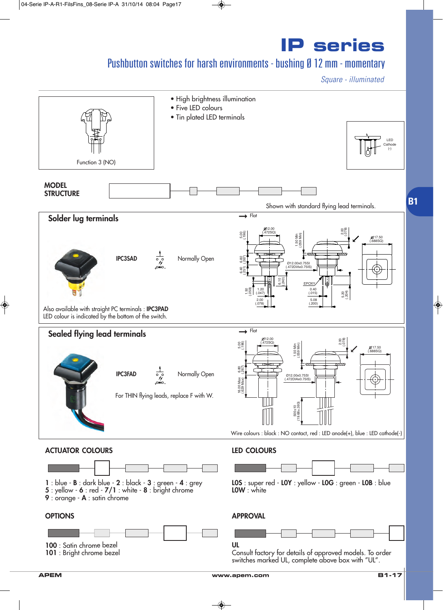### Pushbutton switches for harsh environments - bushing Ø 12 mm - momentary

*Square - illuminated*

**IP series**



**APEM www.apem.com B1-17**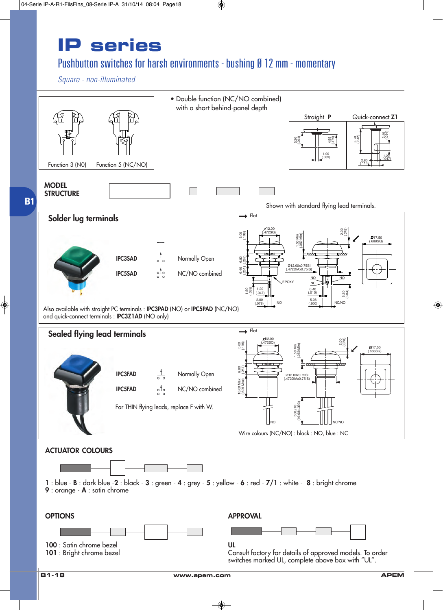#### Pushbutton switches for harsh environments - bushing Ø 12 mm - momentary

*Square - non-illuminated*

**B1**

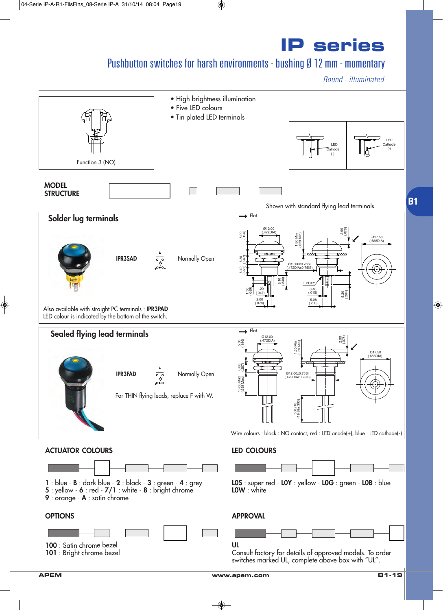### Pushbutton switches for harsh environments - bushing Ø 12 mm - momentary

*Round - illuminated*

**IP series**

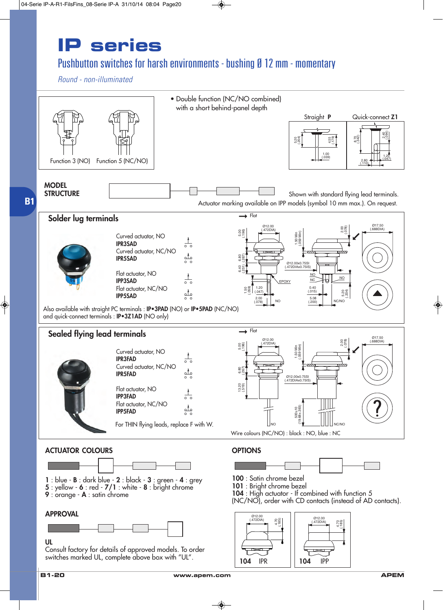### Pushbutton switches for harsh environments - bushing Ø 12 mm - momentary

*Round - non-illuminated*







Consult factory for details of approved models. To order switches marked UL, complete above box with "UL".

**104** IPR **104** IPP

(.472DIA)

(.185) 4.70